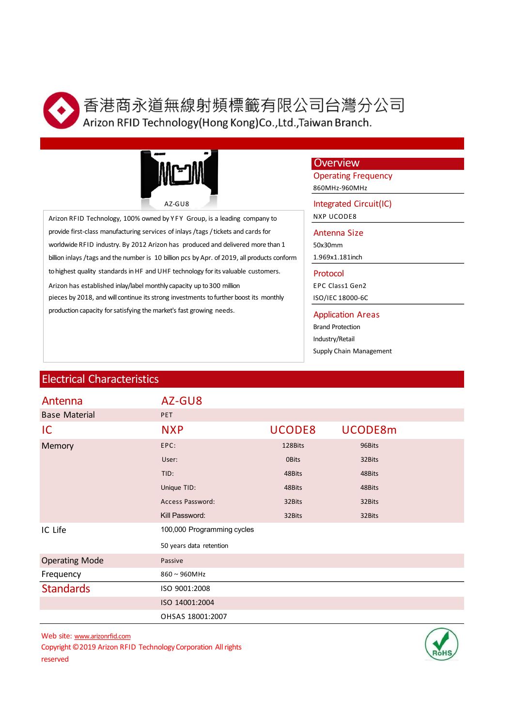

司台灣分公司<br>wan Branch.<br>Overview<br>Operating Frequency<br>seoMHz-960MHz<br>Integrated Circuit(IC)<br>NXP UCODE8<br>Antenna Size 司台灣分公司<br>wan Branch.<br>Overview<br>Operating Frequency<br>860MHz-960MHz<br>Integrated Circuit(IC)<br>NXP UCODE8<br>Antenna Size<br>S0x30mm<br>1.969x1.181inch 司台灣分公司<br>
wan Branch.<br>
Overview<br>
Operating Frequency<br>
<sub>860MHz-960MHz</sub><br>
Integrated Circuit(IC)<br>
NXP UCODE8<br>
Antenna Size<br>
S0x30mm<br>
1.969x1.181inch<br>
Protocol 司台灣分公司<br>
wan Branch.<br>
Overview<br>
Operating Frequency<br>
<sub>860MHz</sub>.<sub>960MHz</sub><br>
Integrated Circuit(IC)<br>
NXP UCODE8<br>
Antenna Size<br>
Antenna Size<br>
FOC Cass1 Gen2<br>
Protocol<br>
Protocol<br>
Protocol<br>
Protocol<br>
Protocol



Figure 11 Material<br>
Az-GU8<br>
Arizon RFID Technology, 100% owned by YFY Group, is a leading company to<br>
provide first-dass manufacturing services of inlays /tags /tickets and cards for<br>
which in his gradient production appli **Arizon RFID Technology, HDTN**<br>
Arizon RFID Technology(Hong Kong)Co.,Ltd.,Taiwan Branch.<br>
Arizon RFID Technology, 100% owned by YF Group, is a leading company to<br>
Arizon RFID Technology, 100% owned by YF Group, is a lead provide first-class manufacturing services of inlays / tags / tickets and cards for Antenna Size worldwide RFID industry. By 2012 Arizon has produced and delivered more than 1 billion inlays / tags and the number is 10 billion pcs by Apr. of 2019, all products conform to highest quality standards in HF and UHF technology for its valuable customers.<br>
Arizon RFID Technology (Hong Kong)Co.,Ltd.,Taiwan Branch.<br>
Arizon RFID Technology. 100% cowed by YFY Group, is a leading company to<br>
Arizo **Arizon RFID Technology (Hong Kong)** (Let, Taiwan Branch.<br>
Arizon RFID Technology (Hong Kong) Co., Ltd., Taiwan Branch.<br>
Arizon RFID Technology (Hong Kong), baseling campany to the constrained Circuity (C)<br>
Arizon RFID T pieces by 2018, and will continue its strong investments to further boost its monthly **Example 13.6 Among FID Technology (Hong Kong)Co.,Ltd.,Taiwan Branch.**<br>
Arizon RFID Technology (Hong Kong)Co.,Ltd.,Taiwan Branch.<br>
Arizon RFID Technology, 100% awed by YFY Group, is a leading company to<br>
Arizon RFID Tech

# **Overview**

司台灣分公司<br>
Wan Branch.<br>
Overview<br>
Operating Frequency<br>
860MHz-960MHz<br>
Integrated Circuit(IC)<br>
NXP UCODE8<br>
Antenna Size<br>
50x30mm<br>
1.969x1.181inch<br>
Protocol<br>
FPC Class1 Gen2<br>
ISO/IEC 18000-6C<br>
Application Areas<br>
Brand Protecti 司台灣分公司<br>
wan Branch.<br>
Overview<br>
Operating Frequency<br>
860MHz-960MHz<br>
Integrated Circuit(IC)<br>
NXP UCODE8<br>
Antenna Size<br>
S0x30mm<br>
1.969x1.181inch<br>
Protocol<br>
EPC Class1 Gen2<br>
ISO/IEC 18000-6C<br>
Application Areas<br>
Brand Protect Brand Protection Industry/Retail

|                                                                                                            |                            |                 | Overview<br><b>Operating Frequency</b> |                          |  |
|------------------------------------------------------------------------------------------------------------|----------------------------|-----------------|----------------------------------------|--------------------------|--|
|                                                                                                            |                            | 860MHz-960MHz   |                                        |                          |  |
| AZ-GU8                                                                                                     |                            |                 |                                        | Integrated Circuit(IC)   |  |
| Arizon RFID Technology, 100% owned by YFY Group, is a leading company to                                   |                            |                 | <b>NXP UCODE8</b>                      |                          |  |
| provide first-class manufacturing services of inlays /tags / tickets and cards for                         |                            |                 | Antenna Size                           |                          |  |
| worldwide RFID industry. By 2012 Arizon has produced and delivered more than 1                             |                            |                 | 50x30mm                                |                          |  |
| billion inlays /tags and the number is 10 billion pcs by Apr. of 2019, all products conform                |                            |                 | 1.969x1.181inch                        |                          |  |
| to highest quality standards in HF and UHF technology for its valuable customers.                          |                            |                 | Protocol                               |                          |  |
| Arizon has established inlay/label monthly capacity up to 300 million                                      |                            |                 | EPC Class1 Gen2                        |                          |  |
| pieces by 2018, and will continue its strong investments to further boost its monthly                      |                            |                 | ISO/IEC 18000-6C                       |                          |  |
| production capacity for satisfying the market's fast growing needs.                                        |                            |                 |                                        | <b>Application Areas</b> |  |
|                                                                                                            |                            |                 | <b>Brand Protection</b>                |                          |  |
|                                                                                                            |                            | Industry/Retail |                                        |                          |  |
|                                                                                                            |                            |                 |                                        | Supply Chain Management  |  |
|                                                                                                            |                            |                 |                                        |                          |  |
| <b>Electrical Characteristics</b>                                                                          |                            |                 |                                        |                          |  |
| Antenna                                                                                                    | AZ-GU8                     |                 |                                        |                          |  |
| <b>Base Material</b>                                                                                       | <b>PET</b>                 |                 |                                        |                          |  |
| IC.                                                                                                        | <b>NXP</b>                 | UCODE8          |                                        | UCODE8m                  |  |
| Memory                                                                                                     | EPC:                       | 128Bits         |                                        | 96Bits                   |  |
|                                                                                                            | User:                      | <b>OBits</b>    |                                        | 32Bits                   |  |
|                                                                                                            | TID:                       | 48Bits          |                                        | 48Bits                   |  |
|                                                                                                            | Unique TID:                | 48Bits          |                                        | 48Bits                   |  |
|                                                                                                            | Access Password:           | 32Bits          |                                        | 32Bits                   |  |
|                                                                                                            | Kill Password:             | 32Bits          |                                        | 32Bits                   |  |
| IC Life                                                                                                    | 100,000 Programming cycles |                 |                                        |                          |  |
|                                                                                                            | 50 years data retention    |                 |                                        |                          |  |
| <b>Operating Mode</b>                                                                                      | Passive                    |                 |                                        |                          |  |
| Frequency                                                                                                  | $860 \sim 960$ MHz         |                 |                                        |                          |  |
| <b>Standards</b>                                                                                           | ISO 9001:2008              |                 |                                        |                          |  |
|                                                                                                            | ISO 14001:2004             |                 |                                        |                          |  |
|                                                                                                            | OHSAS 18001:2007           |                 |                                        |                          |  |
| Web site: www.arizonrfid.com<br>Copyright © 2019 Arizon RFID Technology Corporation All rights<br>reserved |                            |                 |                                        |                          |  |